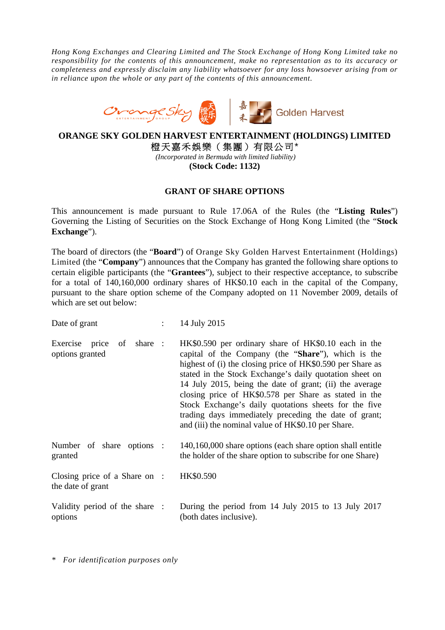*Hong Kong Exchanges and Clearing Limited and The Stock Exchange of Hong Kong Limited take no responsibility for the contents of this announcement, make no representation as to its accuracy or completeness and expressly disclaim any liability whatsoever for any loss howsoever arising from or in reliance upon the whole or any part of the contents of this announcement.* 



## **ORANGE SKY GOLDEN HARVEST ENTERTAINMENT (HOLDINGS) LIMITED**  橙天嘉禾娛樂(集團)有限公司\*

*(Incorporated in Bermuda with limited liability)*  **(Stock Code: 1132)** 

## **GRANT OF SHARE OPTIONS**

This announcement is made pursuant to Rule 17.06A of the Rules (the "**Listing Rules**") Governing the Listing of Securities on the Stock Exchange of Hong Kong Limited (the "**Stock Exchange**").

The board of directors (the "**Board**") of Orange Sky Golden Harvest Entertainment (Holdings) Limited (the "**Company**") announces that the Company has granted the following share options to certain eligible participants (the "**Grantees**"), subject to their respective acceptance, to subscribe for a total of 140,160,000 ordinary shares of HK\$0.10 each in the capital of the Company, pursuant to the share option scheme of the Company adopted on 11 November 2009, details of which are set out below:

| Date of grant                                      | $\mathbb{R}^n$ | 14 July 2015                                                                                                                                                                                                                                                                                                                                                                                                                                                                                                                    |
|----------------------------------------------------|----------------|---------------------------------------------------------------------------------------------------------------------------------------------------------------------------------------------------------------------------------------------------------------------------------------------------------------------------------------------------------------------------------------------------------------------------------------------------------------------------------------------------------------------------------|
| of share :<br>Exercise price<br>options granted    |                | HK\$0.590 per ordinary share of HK\$0.10 each in the<br>capital of the Company (the "Share"), which is the<br>highest of (i) the closing price of HK\$0.590 per Share as<br>stated in the Stock Exchange's daily quotation sheet on<br>14 July 2015, being the date of grant; (ii) the average<br>closing price of HK\$0.578 per Share as stated in the<br>Stock Exchange's daily quotations sheets for the five<br>trading days immediately preceding the date of grant;<br>and (iii) the nominal value of HK\$0.10 per Share. |
| Number of share options :<br>granted               |                | 140,160,000 share options (each share option shall entitle<br>the holder of the share option to subscribe for one Share)                                                                                                                                                                                                                                                                                                                                                                                                        |
| Closing price of a Share on :<br>the date of grant |                | HK\$0.590                                                                                                                                                                                                                                                                                                                                                                                                                                                                                                                       |
| Validity period of the share :<br>options          |                | During the period from 14 July 2015 to 13 July 2017<br>(both dates inclusive).                                                                                                                                                                                                                                                                                                                                                                                                                                                  |

*\* For identification purposes only*